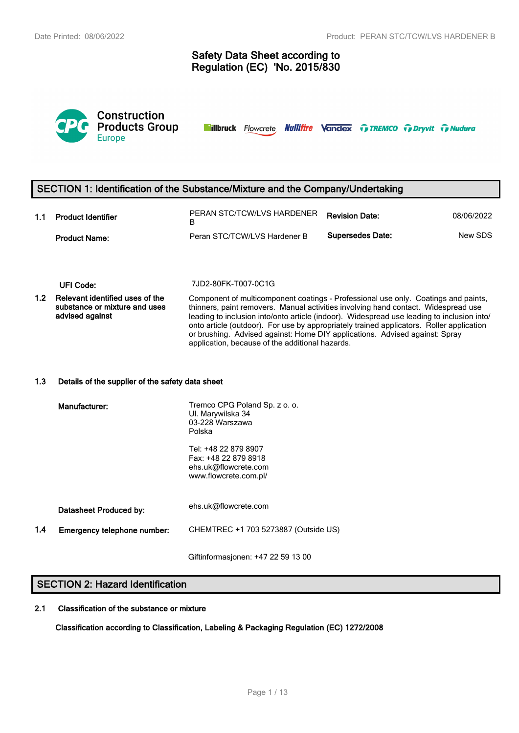# **Safety Data Sheet according to Regulation (EC) 'No. 2015/830**



**Nillbruck** Flowcrete **Nullifire Vandex TreMCO** Trenty Tradura

# **SECTION 1: Identification of the Substance/Mixture and the Company/Undertaking**

| 1.1 | <b>Product Identifier</b> | PERAN STC/TCW/LVS HARDENER   | <b>Revision Date:</b>   | 08/06/2022 |
|-----|---------------------------|------------------------------|-------------------------|------------|
|     | <b>Product Name:</b>      | Peran STC/TCW/LVS Hardener B | <b>Supersedes Date:</b> | New SDS    |

#### **UFI Code:** 7JD2-80FK-T007-0C1G

**1.2 Relevant identified uses of the substance or mixture and uses advised against** Component of multicomponent coatings - Professional use only. Coatings and paints, thinners, paint removers. Manual activities involving hand contact. Widespread use leading to inclusion into/onto article (indoor). Widespread use leading to inclusion into/ onto article (outdoor). For use by appropriately trained applicators. Roller application or brushing. Advised against: Home DIY applications. Advised against: Spray application, because of the additional hazards.

#### **1.3 Details of the supplier of the safety data sheet**

|     | Manufacturer:               | Tremco CPG Poland Sp. z o. o.<br>UI. Marywilska 34<br>03-228 Warszawa<br>Polska               |
|-----|-----------------------------|-----------------------------------------------------------------------------------------------|
|     |                             | Tel: +48 22 879 8907<br>Fax: +48 22 879 8918<br>ehs.uk@flowcrete.com<br>www.flowcrete.com.pl/ |
|     | Datasheet Produced by:      | ehs.uk@flowcrete.com                                                                          |
| 1.4 | Emergency telephone number: | CHEMTREC +1 703 5273887 (Outside US)                                                          |
|     |                             |                                                                                               |

Giftinformasjonen: +47 22 59 13 00

# **SECTION 2: Hazard Identification**

#### **2.1 Classification of the substance or mixture**

**Classification according to Classification, Labeling & Packaging Regulation (EC) 1272/2008**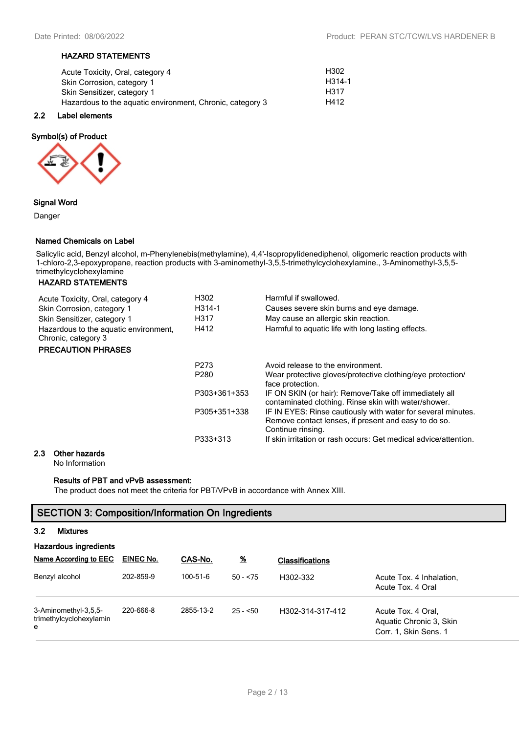#### **HAZARD STATEMENTS**

| Acute Toxicity, Oral, category 4                          | H <sub>302</sub> |
|-----------------------------------------------------------|------------------|
| Skin Corrosion, category 1                                | H314-1           |
| Skin Sensitizer, category 1                               | H317             |
| Hazardous to the aguatic environment, Chronic, category 3 | H412             |

#### **2.2 Label elements**

#### **Symbol(s) of Product**



### **Signal Word**

Danger

#### **Named Chemicals on Label**

Salicylic acid, Benzyl alcohol, m-Phenylenebis(methylamine), 4,4'-Isopropylidenediphenol, oligomeric reaction products with 1-chloro-2,3-epoxypropane, reaction products with 3-aminomethyl-3,5,5-trimethylcyclohexylamine., 3-Aminomethyl-3,5,5 trimethylcyclohexylamine

# **HAZARD STATEMENTS**

| Acute Toxicity, Oral, category 4<br>Skin Corrosion, category 1 | H302<br>H314-1   | Harmful if swallowed.<br>Causes severe skin burns and eye damage.                                                                         |
|----------------------------------------------------------------|------------------|-------------------------------------------------------------------------------------------------------------------------------------------|
| Skin Sensitizer, category 1                                    | H317             | May cause an allergic skin reaction.                                                                                                      |
| Hazardous to the aquatic environment,<br>Chronic, category 3   | H412             | Harmful to aquatic life with long lasting effects.                                                                                        |
| <b>PRECAUTION PHRASES</b>                                      |                  |                                                                                                                                           |
|                                                                | P273             | Avoid release to the environment.                                                                                                         |
|                                                                | P <sub>280</sub> | Wear protective gloves/protective clothing/eye protection/<br>face protection.                                                            |
|                                                                | P303+361+353     | IF ON SKIN (or hair): Remove/Take off immediately all<br>contaminated clothing. Rinse skin with water/shower.                             |
|                                                                | P305+351+338     | IF IN EYES: Rinse cautiously with water for several minutes.<br>Remove contact lenses, if present and easy to do so.<br>Continue rinsing. |
|                                                                | P333+313         | If skin irritation or rash occurs: Get medical advice/attention.                                                                          |
| Other hozarde                                                  |                  |                                                                                                                                           |

### **2.3 Other hazards**

No Information

#### **Results of PBT and vPvB assessment:**

The product does not meet the criteria for PBT/VPvB in accordance with Annex XIII.

# **SECTION 3: Composition/Information On Ingredients**

# **3.2 Mixtures**

| <b>Hazardous ingredients</b>                         |           |           |            |                        |                                                                        |  |  |  |
|------------------------------------------------------|-----------|-----------|------------|------------------------|------------------------------------------------------------------------|--|--|--|
| Name According to EEC                                | EINEC No. | CAS-No.   | <u>%</u>   | <b>Classifications</b> |                                                                        |  |  |  |
| Benzyl alcohol                                       | 202-859-9 | 100-51-6  | $50 - 575$ | H302-332               | Acute Tox. 4 Inhalation,<br>Acute Tox, 4 Oral                          |  |  |  |
| 3-Aminomethyl-3,5,5-<br>trimethylcyclohexylamin<br>e | 220-666-8 | 2855-13-2 | $25 - 50$  | H302-314-317-412       | Acute Tox, 4 Oral.<br>Aquatic Chronic 3, Skin<br>Corr. 1, Skin Sens. 1 |  |  |  |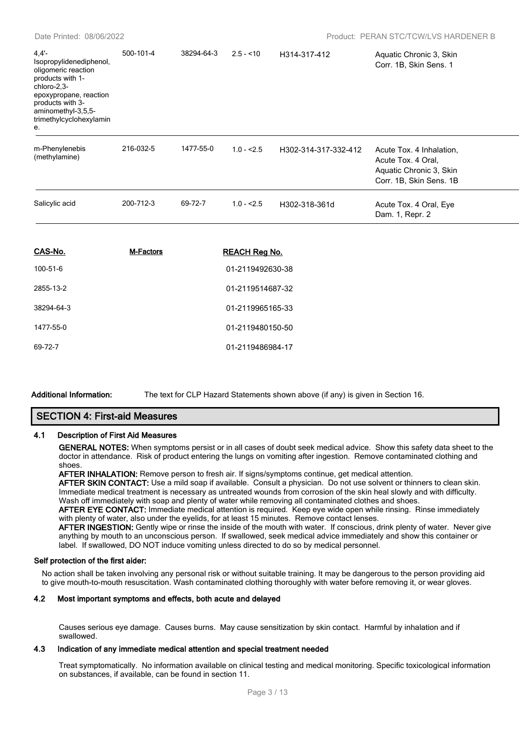| 4.4'<br>Isopropylidenediphenol,<br>oligomeric reaction<br>products with 1-<br>chloro-2,3-<br>epoxypropane, reaction<br>products with 3-<br>aminomethyl-3,5,5-<br>trimethylcyclohexylamin<br>e. | 500-101-4 | 38294-64-3 | $2.5 - 10$           | H314-317-412         | Aquatic Chronic 3, Skin<br>Corr. 1B, Skin Sens. 1                                                    |  |
|------------------------------------------------------------------------------------------------------------------------------------------------------------------------------------------------|-----------|------------|----------------------|----------------------|------------------------------------------------------------------------------------------------------|--|
| m-Phenylenebis<br>(methylamine)                                                                                                                                                                | 216-032-5 | 1477-55-0  | $1.0 - 2.5$          | H302-314-317-332-412 | Acute Tox. 4 Inhalation,<br>Acute Tox. 4 Oral.<br>Aquatic Chronic 3, Skin<br>Corr. 1B, Skin Sens. 1B |  |
| Salicylic acid                                                                                                                                                                                 | 200-712-3 | 69-72-7    | $1.0 - 2.5$          | H302-318-361d        | Acute Tox. 4 Oral, Eye<br>Dam. 1, Repr. 2                                                            |  |
| CAS-No.                                                                                                                                                                                        | M-Factors |            | <b>REACH Reg No.</b> |                      |                                                                                                      |  |
| 100-51-6                                                                                                                                                                                       |           |            | 01-2119492630-38     |                      |                                                                                                      |  |
| 2855-13-2                                                                                                                                                                                      |           |            | 01-2119514687-32     |                      |                                                                                                      |  |
| 38294-64-3                                                                                                                                                                                     |           |            | 01-2119965165-33     |                      |                                                                                                      |  |
| 1477-55-0                                                                                                                                                                                      |           |            | 01-2119480150-50     |                      |                                                                                                      |  |
| 69-72-7                                                                                                                                                                                        |           |            | 01-2119486984-17     |                      |                                                                                                      |  |

**Additional Information:** The text for CLP Hazard Statements shown above (if any) is given in Section 16.

# **SECTION 4: First-aid Measures**

#### **4.1 Description of First Aid Measures**

**GENERAL NOTES:** When symptoms persist or in all cases of doubt seek medical advice. Show this safety data sheet to the doctor in attendance. Risk of product entering the lungs on vomiting after ingestion. Remove contaminated clothing and shoes.

**AFTER INHALATION:** Remove person to fresh air. If signs/symptoms continue, get medical attention.

**AFTER SKIN CONTACT:** Use a mild soap if available. Consult a physician. Do not use solvent or thinners to clean skin. Immediate medical treatment is necessary as untreated wounds from corrosion of the skin heal slowly and with difficulty. Wash off immediately with soap and plenty of water while removing all contaminated clothes and shoes.

**AFTER EYE CONTACT:** Immediate medical attention is required. Keep eye wide open while rinsing. Rinse immediately with plenty of water, also under the eyelids, for at least 15 minutes. Remove contact lenses.

**AFTER INGESTION:** Gently wipe or rinse the inside of the mouth with water. If conscious, drink plenty of water. Never give anything by mouth to an unconscious person. If swallowed, seek medical advice immediately and show this container or label. If swallowed, DO NOT induce vomiting unless directed to do so by medical personnel.

#### **Self protection of the first aider:**

No action shall be taken involving any personal risk or without suitable training. It may be dangerous to the person providing aid to give mouth-to-mouth resuscitation. Wash contaminated clothing thoroughly with water before removing it, or wear gloves.

#### **4.2 Most important symptoms and effects, both acute and delayed**

Causes serious eye damage. Causes burns. May cause sensitization by skin contact. Harmful by inhalation and if swallowed.

#### **4.3 Indication of any immediate medical attention and special treatment needed**

Treat symptomatically. No information available on clinical testing and medical monitoring. Specific toxicological information on substances, if available, can be found in section 11.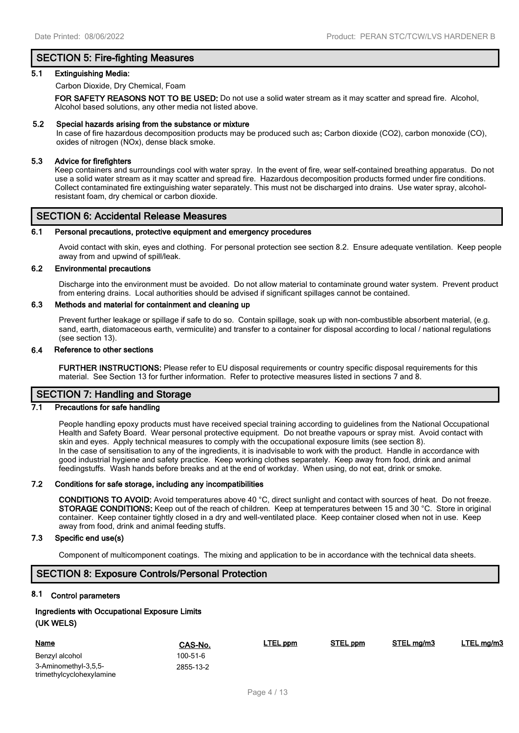# **SECTION 5: Fire-fighting Measures**

#### **5.1 Extinguishing Media:**

Carbon Dioxide, Dry Chemical, Foam

**FOR SAFETY REASONS NOT TO BE USED:** Do not use a solid water stream as it may scatter and spread fire. Alcohol, Alcohol based solutions, any other media not listed above.

#### **5.2 Special hazards arising from the substance or mixture**

In case of fire hazardous decomposition products may be produced such as**:** Carbon dioxide (CO2), carbon monoxide (CO), oxides of nitrogen (NOx), dense black smoke.

#### **5.3 Advice for firefighters**

Keep containers and surroundings cool with water spray. In the event of fire, wear self-contained breathing apparatus. Do not use a solid water stream as it may scatter and spread fire. Hazardous decomposition products formed under fire conditions. Collect contaminated fire extinguishing water separately. This must not be discharged into drains. Use water spray, alcoholresistant foam, dry chemical or carbon dioxide.

# **SECTION 6: Accidental Release Measures**

#### **6.1 Personal precautions, protective equipment and emergency procedures**

Avoid contact with skin, eyes and clothing. For personal protection see section 8.2. Ensure adequate ventilation. Keep people away from and upwind of spill/leak.

#### **6.2 Environmental precautions**

Discharge into the environment must be avoided. Do not allow material to contaminate ground water system. Prevent product from entering drains. Local authorities should be advised if significant spillages cannot be contained.

#### **6.3 Methods and material for containment and cleaning up**

Prevent further leakage or spillage if safe to do so. Contain spillage, soak up with non-combustible absorbent material, (e.g. sand, earth, diatomaceous earth, vermiculite) and transfer to a container for disposal according to local / national regulations (see section 13).

#### **6.4 Reference to other sections**

**FURTHER INSTRUCTIONS:** Please refer to EU disposal requirements or country specific disposal requirements for this material. See Section 13 for further information. Refer to protective measures listed in sections 7 and 8.

# **SECTION 7: Handling and Storage**

# **7.1 Precautions for safe handling**

People handling epoxy products must have received special training according to guidelines from the National Occupational Health and Safety Board. Wear personal protective equipment. Do not breathe vapours or spray mist. Avoid contact with skin and eyes. Apply technical measures to comply with the occupational exposure limits (see section 8). In the case of sensitisation to any of the ingredients, it is inadvisable to work with the product. Handle in accordance with good industrial hygiene and safety practice. Keep working clothes separately. Keep away from food, drink and animal feedingstuffs. Wash hands before breaks and at the end of workday. When using, do not eat, drink or smoke.

#### **7.2 Conditions for safe storage, including any incompatibilities**

**CONDITIONS TO AVOID:** Avoid temperatures above 40 °C, direct sunlight and contact with sources of heat. Do not freeze. **STORAGE CONDITIONS:** Keep out of the reach of children. Keep at temperatures between 15 and 30 °C. Store in original container. Keep container tightly closed in a dry and well-ventilated place. Keep container closed when not in use. Keep away from food, drink and animal feeding stuffs.

# **7.3 Specific end use(s)**

Component of multicomponent coatings. The mixing and application to be in accordance with the technical data sheets.

### **SECTION 8: Exposure Controls/Personal Protection**

# **8.1 Control parameters**

# **Ingredients with Occupational Exposure Limits**

# **(UK WELS)**

| <b>Name</b>                                      | CAS-No.   | <b>LTEL</b> ppm | STEL ppm | STEL mg/m3 | LTEL mg/m3 |
|--------------------------------------------------|-----------|-----------------|----------|------------|------------|
| Benzyl alcohol                                   | 100-51-6  |                 |          |            |            |
| 3-Aminomethyl-3,5,5-<br>trimethylcyclohexylamine | 2855-13-2 |                 |          |            |            |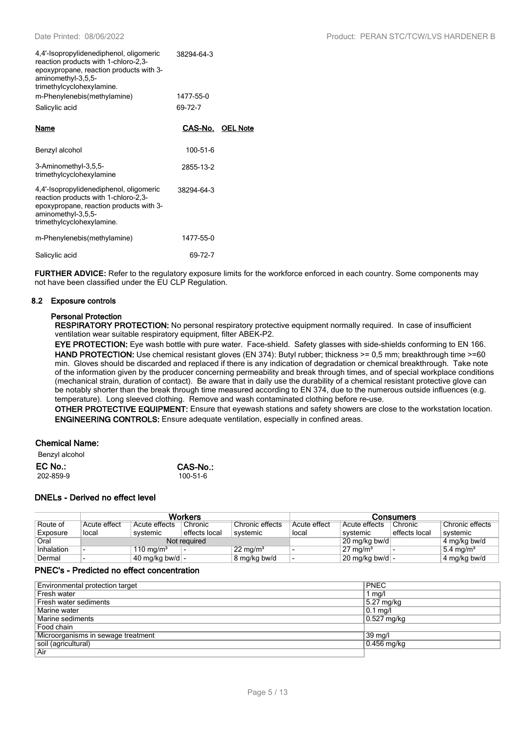| 4,4'-Isopropylidenediphenol, oligomeric<br>reaction products with 1-chloro-2,3-<br>epoxypropane, reaction products with 3-<br>aminomethyl-3,5,5-<br>trimethylcyclohexylamine.<br>m-Phenylenebis(methylamine) | 38294-64-3<br>1477-55-0 |                 |
|--------------------------------------------------------------------------------------------------------------------------------------------------------------------------------------------------------------|-------------------------|-----------------|
| Salicylic acid                                                                                                                                                                                               | 69-72-7                 |                 |
| Name                                                                                                                                                                                                         | CAS-No.                 | <b>OEL Note</b> |
| Benzyl alcohol                                                                                                                                                                                               | 100-51-6                |                 |
| 3-Aminomethyl-3,5,5-<br>trimethylcyclohexylamine                                                                                                                                                             | 2855-13-2               |                 |
| 4,4'-Isopropylidenediphenol, oligomeric<br>reaction products with 1-chloro-2,3-<br>epoxypropane, reaction products with 3-<br>aminomethyl-3,5,5-<br>trimethylcyclohexylamine.                                | 38294-64-3              |                 |
| m-Phenylenebis(methylamine)                                                                                                                                                                                  | 1477-55-0               |                 |

Salicylic acid 69-72-7

**FURTHER ADVICE:** Refer to the regulatory exposure limits for the workforce enforced in each country. Some components may not have been classified under the EU CLP Regulation.

#### **8.2 Exposure controls**

#### **Personal Protection**

**RESPIRATORY PROTECTION:** No personal respiratory protective equipment normally required. In case of insufficient ventilation wear suitable respiratory equipment, filter ABEK-P2.

**EYE PROTECTION:** Eye wash bottle with pure water. Face-shield. Safety glasses with side-shields conforming to EN 166. **HAND PROTECTION:** Use chemical resistant gloves (EN 374): Butyl rubber; thickness >= 0.5 mm; breakthrough time >=60 min. Gloves should be discarded and replaced if there is any indication of degradation or chemical breakthrough. Take note of the information given by the producer concerning permeability and break through times, and of special workplace conditions (mechanical strain, duration of contact). Be aware that in daily use the durability of a chemical resistant protective glove can be notably shorter than the break through time measured according to EN 374, due to the numerous outside influences (e.g. temperature). Long sleeved clothing. Remove and wash contaminated clothing before re-use.

**OTHER PROTECTIVE EQUIPMENT:** Ensure that eyewash stations and safety showers are close to the workstation location. **ENGINEERING CONTROLS:** Ensure adequate ventilation, especially in confined areas.

### **Chemical Name:**

| Benzyl alcohol |          |
|----------------|----------|
| EC No.:        | CAS-No.: |
| 202-859-9      | 100-51-6 |

### **DNELs - Derived no effect level**

|            | <b>Workers</b> |                         |               |                     |               |                           | Consumers     |                       |
|------------|----------------|-------------------------|---------------|---------------------|---------------|---------------------------|---------------|-----------------------|
| Route of   | Acute effect   | Acute effects           | Chronic       | Chronic effects     | Acute effect  | Acute effects             | Chronic       | Chronic effects       |
| Exposure   | local          | systemic                | effects local | systemic            | local         | systemic                  | effects local | svstemic              |
| Oral       | Not required   |                         |               |                     | 20 mg/kg bw/d |                           | 4 mg/kg bw/d  |                       |
| Inhalation |                | 110 mg/m <sup>3</sup>   |               | $22 \text{ mg/m}^3$ |               | $27 \text{ mg/m}^3$       |               | 5.4 mg/m <sup>3</sup> |
| Dermal     |                | 40 mg/kg bw/d $\vert$ - |               | 8 mg/kg bw/d        |               | $20 \text{ mg/kg}$ bw/d - |               | 4 mg/kg bw/d          |

## **PNEC's - Predicted no effect concentration**

| Environmental protection target    | <b>PNEC</b>   |
|------------------------------------|---------------|
| Fresh water                        | 1 $mq/l$      |
| Fresh water sediments              | 5.27 mg/kg    |
| Marine water                       | $0.1$ mg/l    |
| Marine sediments                   | $0.527$ mg/kg |
| Food chain                         |               |
| Microorganisms in sewage treatment | 39 mg/l       |
| soil (agricultural)                | 0.456 mg/kg   |
| Air                                |               |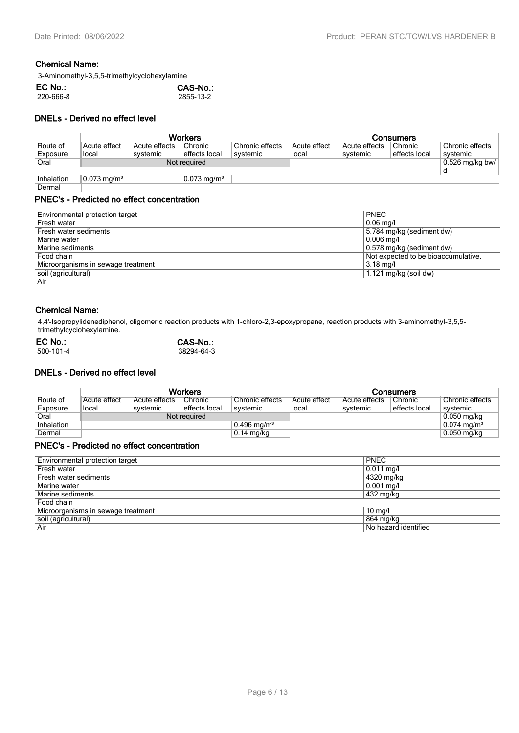# **Chemical Name:**

3-Aminomethyl-3,5,5-trimethylcyclohexylamine

| EC No.:   | CAS-No.:  |
|-----------|-----------|
| 220-666-8 | 2855-13-2 |

### **DNELs - Derived no effect level**

|            | <b>Workers</b>         |               |                           |                 | <b>Consumers</b> |               |               |                   |
|------------|------------------------|---------------|---------------------------|-----------------|------------------|---------------|---------------|-------------------|
| Route of   | Acute effect           | Acute effects | Chronic                   | Chronic effects | Acute effect     | Acute effects | Chronic       | Chronic effects   |
| Exposure   | local                  | systemic      | effects local             | systemic        | local            | systemic      | effects local | svstemic          |
| Oral       | Not required           |               |                           |                 |                  |               |               | $0.526$ mg/kg bw/ |
|            |                        |               |                           |                 |                  |               |               |                   |
| Inhalation | $0.073 \text{ mg/m}^3$ |               | $0.073$ mg/m <sup>3</sup> |                 |                  |               |               |                   |

# Dermal

# **PNEC's - Predicted no effect concentration**

| Environmental protection target    | <b>PNEC</b>                         |
|------------------------------------|-------------------------------------|
| Fresh water                        | $0.06$ mg/l                         |
| Fresh water sediments              | 5.784 mg/kg (sediment dw)           |
| Marine water                       | 0.006 mg/l                          |
| Marine sediments                   | 0.578 mg/kg (sediment dw)           |
| Food chain                         | Not expected to be bioaccumulative. |
| Microorganisms in sewage treatment | $3.18$ mg/l                         |
| soil (agricultural)                | $1.121$ mg/kg (soil dw)             |
| Air                                |                                     |

### **Chemical Name:**

4,4'-Isopropylidenediphenol, oligomeric reaction products with 1-chloro-2,3-epoxypropane, reaction products with 3-aminomethyl-3,5,5 trimethylcyclohexylamine.

| $EC$ No.: | CAS-No.:   |
|-----------|------------|
| 500-101-4 | 38294-64-3 |

# **DNELs - Derived no effect level**

|            | <b>Workers</b> |               |               |                           | Consumers    |               |               |                        |
|------------|----------------|---------------|---------------|---------------------------|--------------|---------------|---------------|------------------------|
| Route of   | Acute effect   | Acute effects | Chronic       | Chronic effects           | Acute effect | Acute effects | Chronic       | Chronic effects        |
| Exposure   | local          | systemic      | effects local | systemic                  | local        | systemic      | effects local | svstemic               |
| Oral       | Not required   |               |               |                           |              |               |               | $0.050$ mg/kg          |
| Inhalation |                |               |               | $0.496$ mg/m <sup>3</sup> |              |               |               | $0.074 \text{ mg/m}^3$ |
| Dermal     |                |               |               | $0.14$ mg/kg              |              |               |               | $0.050$ mg/kg          |

# **PNEC's - Predicted no effect concentration**

| Environmental protection target    | <b>PNEC</b>          |
|------------------------------------|----------------------|
| Fresh water                        | 0.011 mg/l           |
| Fresh water sediments              | 4320 mg/kg           |
| Marine water                       | $0.001$ mg/l         |
| Marine sediments                   | 432 mg/kg            |
| Food chain                         |                      |
| Microorganisms in sewage treatment | $10 \text{ mg/l}$    |
| soil (agricultural)                | 864 mg/kg            |
| Air                                | No hazard identified |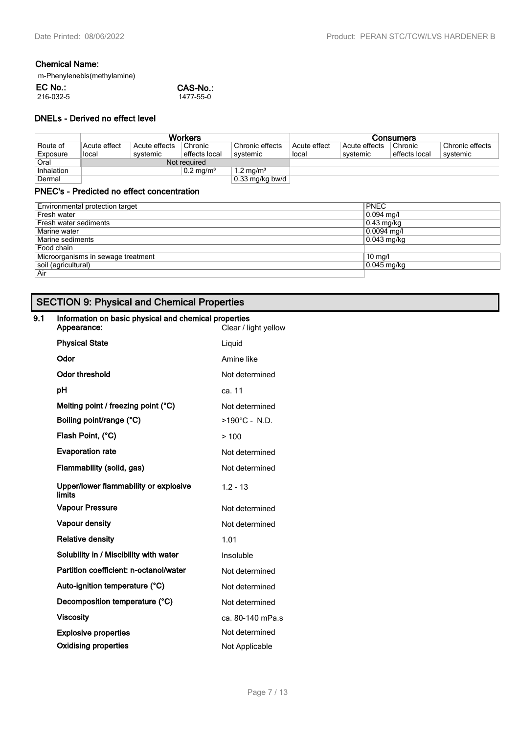# **Chemical Name:**

| m-Phenylenebis(methylamine) |           |
|-----------------------------|-----------|
| EC No.:                     | CAS-No.:  |
| 216-032-5                   | 1477-55-0 |

# **DNELs - Derived no effect level**

|              | <b>Workers</b>          |               |               |                      | <b>Consumers</b> |               |               |                 |
|--------------|-------------------------|---------------|---------------|----------------------|------------------|---------------|---------------|-----------------|
| Route of     | Acute effect            | Acute effects | Chronic       | Chronic effects      | Acute effect     | Acute effects | Chronic       | Chronic effects |
| Exposure     | local                   | systemic      | effects local | svstemic             | local            | svstemic      | effects local | systemic        |
| Oral         | Not required            |               |               |                      |                  |               |               |                 |
| Inhalation   | $0.2$ mg/m <sup>3</sup> |               |               | $1.2 \text{ mg/m}^3$ |                  |               |               |                 |
| Dermal       |                         |               |               | $0.33$ mg/kg bw/d    |                  |               |               |                 |
| $\mathbf{B}$ |                         |               |               |                      |                  |               |               |                 |

# **PNEC's - Predicted no effect concentration**

| <b>PNEC</b>   |
|---------------|
| $0.094$ mg/l  |
| $0.43$ mg/kg  |
| $0.0094$ mg/l |
| $0.043$ mg/kg |
|               |
| $10$ mg/l     |
| $0.045$ mg/kg |
|               |
|               |

# **SECTION 9: Physical and Chemical Properties**

# **9.1 Information on basic physical and chemical properties**

| Appearance:                                            | Clear / light yellow    |
|--------------------------------------------------------|-------------------------|
| <b>Physical State</b>                                  | Liquid                  |
| Odor                                                   | Amine like              |
| <b>Odor threshold</b>                                  | Not determined          |
| рH                                                     | ca. 11                  |
| Melting point / freezing point (°C)                    | Not determined          |
| Boiling point/range (°C)                               | $>190^{\circ}$ C - N.D. |
| Flash Point, (°C)                                      | >100                    |
| <b>Evaporation rate</b>                                | Not determined          |
| Flammability (solid, gas)                              | Not determined          |
| Upper/lower flammability or explosive<br><b>limits</b> | $1.2 - 13$              |
| <b>Vapour Pressure</b>                                 | Not determined          |
| <b>Vapour density</b>                                  | Not determined          |
| <b>Relative density</b>                                | 1.01                    |
| Solubility in / Miscibility with water                 | Insoluble               |
| Partition coefficient: n-octanol/water                 | Not determined          |
| Auto-ignition temperature (°C)                         | Not determined          |
| Decomposition temperature (°C)                         | Not determined          |
| <b>Viscosity</b>                                       | ca. 80-140 mPa.s        |
| <b>Explosive properties</b>                            | Not determined          |
| <b>Oxidising properties</b>                            | Not Applicable          |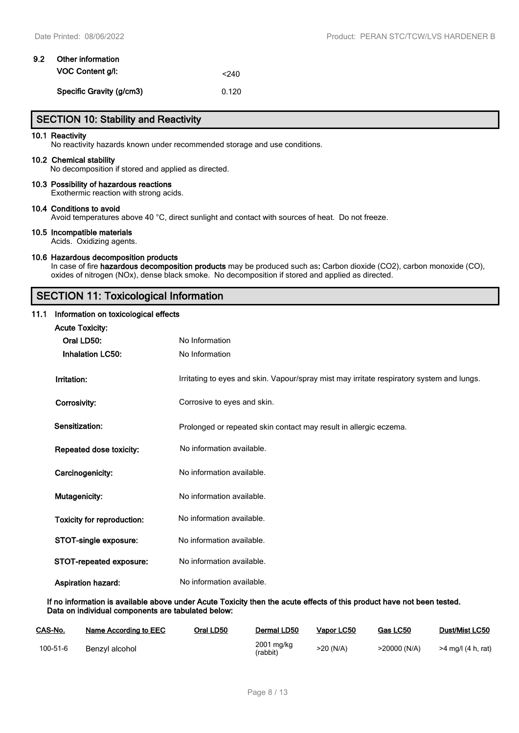| 9.2 | Other information        |       |
|-----|--------------------------|-------|
|     | <b>VOC Content g/l:</b>  | < 240 |
|     | Specific Gravity (g/cm3) | 0.120 |

# **SECTION 10: Stability and Reactivity**

#### **10.1 Reactivity**

No reactivity hazards known under recommended storage and use conditions.

#### **10.2 Chemical stability**

No decomposition if stored and applied as directed.

#### **10.3 Possibility of hazardous reactions**

Exothermic reaction with strong acids.

#### **10.4 Conditions to avoid**

Avoid temperatures above 40 °C, direct sunlight and contact with sources of heat. Do not freeze.

#### **10.5 Incompatible materials**

Acids. Oxidizing agents.

#### **10.6 Hazardous decomposition products**

In case of fire **hazardous decomposition products** may be produced such as**:** Carbon dioxide (CO2), carbon monoxide (CO), oxides of nitrogen (NOx), dense black smoke. No decomposition if stored and applied as directed.

# **SECTION 11: Toxicological Information**

#### **11.1 Information on toxicological effects**

| <b>Acute Toxicity:</b>            |                                                                                           |
|-----------------------------------|-------------------------------------------------------------------------------------------|
| Oral LD50:                        | No Information                                                                            |
| <b>Inhalation LC50:</b>           | No Information                                                                            |
| Irritation:                       | Irritating to eyes and skin. Vapour/spray mist may irritate respiratory system and lungs. |
| Corrosivity:                      | Corrosive to eyes and skin.                                                               |
| Sensitization:                    | Prolonged or repeated skin contact may result in allergic eczema.                         |
| Repeated dose toxicity:           | No information available.                                                                 |
| Carcinogenicity:                  | No information available.                                                                 |
| Mutagenicity:                     | No information available.                                                                 |
| <b>Toxicity for reproduction:</b> | No information available.                                                                 |
| STOT-single exposure:             | No information available.                                                                 |
| STOT-repeated exposure:           | No information available.                                                                 |
| <b>Aspiration hazard:</b>         | No information available.                                                                 |

**If no information is available above under Acute Toxicity then the acute effects of this product have not been tested. Data on individual components are tabulated below:**

| CAS-No.  | Name According to EEC | Oral LD50 | Dermal LD50            | Vapor LC50 | Gas LC50     | <b>Dust/Mist LC50</b> |
|----------|-----------------------|-----------|------------------------|------------|--------------|-----------------------|
| 100-51-6 | Benzyl alcohol        |           | 2001 mg/kg<br>(rabbit) | >20 (N/A)  | >20000 (N/A) | >4 mg/l (4 h, rat)    |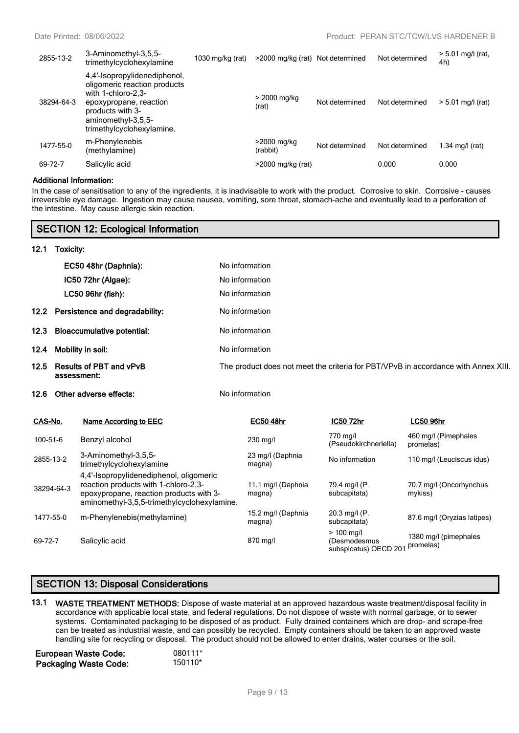| 2855-13-2  | 3-Aminomethyl-3,5,5-<br>trimethylcyclohexylamine                                                                                                                                    | 1030 mg/kg $(rat)$ | >2000 mg/kg (rat) Not determined |                | Not determined | $> 5.01$ mg/l (rat,<br>4h) |
|------------|-------------------------------------------------------------------------------------------------------------------------------------------------------------------------------------|--------------------|----------------------------------|----------------|----------------|----------------------------|
| 38294-64-3 | 4,4'-Isopropylidenediphenol,<br>oligomeric reaction products<br>with 1-chloro-2,3-<br>epoxypropane, reaction<br>products with 3-<br>aminomethyl-3,5,5-<br>trimethylcyclohexylamine. |                    | > 2000 mg/kg<br>(rat)            | Not determined | Not determined | $> 5.01$ mg/l (rat)        |
| 1477-55-0  | m-Phenylenebis<br>(methylamine)                                                                                                                                                     |                    | >2000 mg/kg<br>(rabbit)          | Not determined | Not determined | 1.34 mg/l $(rat)$          |
| 69-72-7    | Salicylic acid                                                                                                                                                                      |                    | >2000 mg/kg (rat)                |                | 0.000          | 0.000                      |

#### **Additional Information:**

In the case of sensitisation to any of the ingredients, it is inadvisable to work with the product. Corrosive to skin. Corrosive - causes irreversible eye damage. Ingestion may cause nausea, vomiting, sore throat, stomach-ache and eventually lead to a perforation of the intestine. May cause allergic skin reaction.

| <b>SECTION 12: Ecological Information</b> |                                               |                                                                                                                                                                           |                                                                                    |                              |                                                       |                                    |  |
|-------------------------------------------|-----------------------------------------------|---------------------------------------------------------------------------------------------------------------------------------------------------------------------------|------------------------------------------------------------------------------------|------------------------------|-------------------------------------------------------|------------------------------------|--|
| 12.1                                      | Toxicity:                                     |                                                                                                                                                                           |                                                                                    |                              |                                                       |                                    |  |
|                                           |                                               | EC50 48hr (Daphnia):                                                                                                                                                      |                                                                                    | No information               |                                                       |                                    |  |
|                                           |                                               | IC50 72hr (Algae):                                                                                                                                                        |                                                                                    | No information               |                                                       |                                    |  |
|                                           |                                               | LC50 96hr (fish):                                                                                                                                                         |                                                                                    | No information               |                                                       |                                    |  |
| 12.2                                      | Persistence and degradability:                |                                                                                                                                                                           | No information                                                                     |                              |                                                       |                                    |  |
| 12.3                                      | <b>Bioaccumulative potential:</b>             |                                                                                                                                                                           | No information                                                                     |                              |                                                       |                                    |  |
| 12.4                                      | Mobility in soil:                             |                                                                                                                                                                           | No information                                                                     |                              |                                                       |                                    |  |
| 12.5                                      | <b>Results of PBT and vPvB</b><br>assessment: |                                                                                                                                                                           | The product does not meet the criteria for PBT/VPvB in accordance with Annex XIII. |                              |                                                       |                                    |  |
| 12.6                                      |                                               | Other adverse effects:                                                                                                                                                    |                                                                                    | No information               |                                                       |                                    |  |
| CAS-No.                                   |                                               | <b>Name According to EEC</b>                                                                                                                                              |                                                                                    | <b>EC50 48hr</b>             | IC50 72hr                                             | <b>LC50 96hr</b>                   |  |
| 100-51-6                                  |                                               | Benzyl alcohol                                                                                                                                                            |                                                                                    | 230 mg/l                     | 770 mg/l<br>(Pseudokirchneriella)                     | 460 mg/l (Pimephales<br>promelas)  |  |
| 2855-13-2                                 |                                               | 3-Aminomethyl-3,5,5-<br>trimethylcyclohexylamine                                                                                                                          |                                                                                    | 23 mg/l (Daphnia<br>magna)   | No information                                        | 110 mg/l (Leuciscus idus)          |  |
|                                           | 38294-64-3                                    | 4,4'-Isopropylidenediphenol, oligomeric<br>reaction products with 1-chloro-2,3-<br>epoxypropane, reaction products with 3-<br>aminomethyl-3,5,5-trimethylcyclohexylamine. |                                                                                    | 11.1 mg/l (Daphnia<br>magna) | 79.4 mg/l (P.<br>subcapitata)                         | 70.7 mg/l (Oncorhynchus<br>mykiss) |  |
| 1477-55-0                                 |                                               | m-Phenylenebis(methylamine)                                                                                                                                               |                                                                                    | 15.2 mg/l (Daphnia<br>magna) | 20.3 mg/l (P.<br>subcapitata)                         | 87.6 mg/l (Oryzias latipes)        |  |
| 69-72-7                                   |                                               | Salicylic acid                                                                                                                                                            |                                                                                    | 870 mg/l                     | $> 100$ mg/l<br>(Desmodesmus<br>subspicatus) OECD 201 | 1380 mg/l (pimephales<br>promelas) |  |

# **SECTION 13: Disposal Considerations**

**13.1 WASTE TREATMENT METHODS:** Dispose of waste material at an approved hazardous waste treatment/disposal facility in accordance with applicable local state, and federal regulations. Do not dispose of waste with normal garbage, or to sewer systems. Contaminated packaging to be disposed of as product. Fully drained containers which are drop- and scrape-free can be treated as industrial waste, and can possibly be recycled. Empty containers should be taken to an approved waste handling site for recycling or disposal. The product should not be allowed to enter drains, water courses or the soil.

| <b>European Waste Code:</b>  | 080111* |
|------------------------------|---------|
| <b>Packaging Waste Code:</b> | 150110* |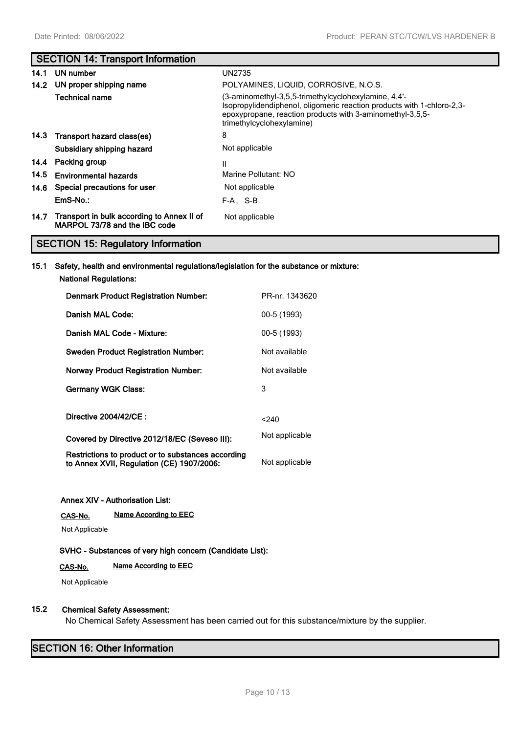# **SECTION 14: Transport Information**

| 14.1 | UN number                                                                        | UN2735                                                                                                                                                                                                                   |
|------|----------------------------------------------------------------------------------|--------------------------------------------------------------------------------------------------------------------------------------------------------------------------------------------------------------------------|
| 14.2 | UN proper shipping name                                                          | POLYAMINES, LIQUID, CORROSIVE, N.O.S.                                                                                                                                                                                    |
|      | <b>Technical name</b>                                                            | (3-aminomethyl-3,5,5-trimethylcyclohexylamine, 4,4'-<br>Isopropylidendiphenol, oligomeric reaction products with 1-chloro-2,3-<br>epoxypropane, reaction products with 3-aminomethyl-3,5,5-<br>trimethylcyclohexylamine) |
|      | 14.3 Transport hazard class(es)                                                  | 8                                                                                                                                                                                                                        |
|      | Subsidiary shipping hazard                                                       | Not applicable                                                                                                                                                                                                           |
|      | 14.4 Packing group                                                               | Ш                                                                                                                                                                                                                        |
| 14.5 | <b>Environmental hazards</b>                                                     | Marine Pollutant: NO                                                                                                                                                                                                     |
|      | 14.6 Special precautions for user                                                | Not applicable                                                                                                                                                                                                           |
|      | EmS-No.:                                                                         | F-A. S-B                                                                                                                                                                                                                 |
|      | 14.7 Transport in bulk according to Annex II of<br>MARPOL 73/78 and the IBC code | Not applicable                                                                                                                                                                                                           |

# **SECTION 15: Regulatory Information**

# **15.1 Safety, health and environmental regulations/legislation for the substance or mixture: National Regulations:**

| <b>Denmark Product Registration Number:</b>                                                     | PR-nr. 1343620 |
|-------------------------------------------------------------------------------------------------|----------------|
| Danish MAL Code:                                                                                | 00-5 (1993)    |
| Danish MAL Code - Mixture:                                                                      | 00-5 (1993)    |
| <b>Sweden Product Registration Number:</b>                                                      | Not available  |
| <b>Norway Product Registration Number:</b>                                                      | Not available  |
| <b>Germany WGK Class:</b>                                                                       | 3              |
| Directive 2004/42/CE :                                                                          | $<$ 240        |
| Covered by Directive 2012/18/EC (Seveso III):                                                   | Not applicable |
| Restrictions to product or to substances according<br>to Annex XVII, Regulation (CE) 1907/2006: | Not applicable |

### **Annex XIV - Authorisation List:**

**CAS-No. Name According to EEC**

Not Applicable

# **SVHC - Substances of very high concern (Candidate List):**

# **CAS-No. Name According to EEC**

Not Applicable

# **15.2 Chemical Safety Assessment:**

No Chemical Safety Assessment has been carried out for this substance/mixture by the supplier.

# **SECTION 16: Other Information**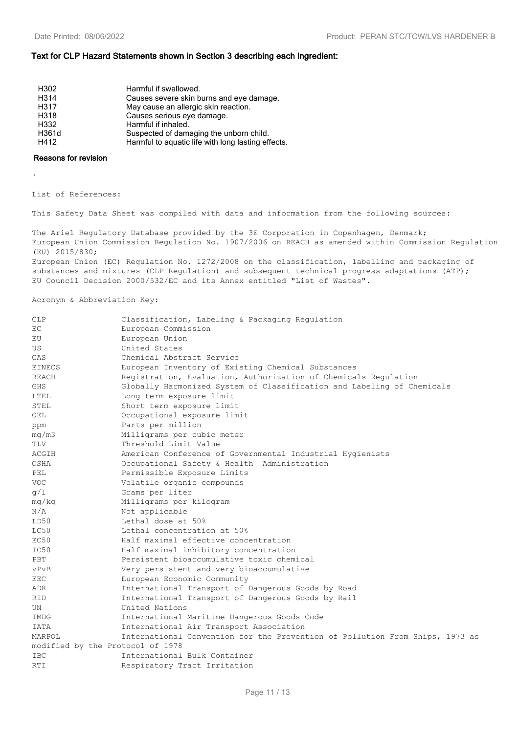#### **Text for CLP Hazard Statements shown in Section 3 describing each ingredient:**

| H302  | Harmful if swallowed.                              |
|-------|----------------------------------------------------|
| H314  | Causes severe skin burns and eye damage.           |
| H317  | May cause an allergic skin reaction.               |
| H318  | Causes serious eye damage.                         |
| H332  | Harmful if inhaled.                                |
| H361d | Suspected of damaging the unborn child.            |
| H412  | Harmful to aquatic life with long lasting effects. |
|       |                                                    |

#### **Reasons for revision**

.

List of References:

This Safety Data Sheet was compiled with data and information from the following sources:

The Ariel Regulatory Database provided by the 3E Corporation in Copenhagen, Denmark; European Union Commission Regulation No. 1907/2006 on REACH as amended within Commission Regulation (EU) 2015/830; European Union (EC) Regulation No. 1272/2008 on the classification, labelling and packaging of substances and mixtures (CLP Requlation) and subsequent technical progress adaptations (ATP);

EU Council Decision 2000/532/EC and its Annex entitled "List of Wastes".

Acronym & Abbreviation Key:

| <b>CLP</b>                       | Classification, Labeling & Packaging Regulation                              |  |  |
|----------------------------------|------------------------------------------------------------------------------|--|--|
| EC.                              | European Commission                                                          |  |  |
| EU                               | European Union                                                               |  |  |
| US                               | United States                                                                |  |  |
| CAS                              | Chemical Abstract Service                                                    |  |  |
| EINECS                           | European Inventory of Existing Chemical Substances                           |  |  |
| REACH                            | Registration, Evaluation, Authorization of Chemicals Regulation              |  |  |
| <b>GHS</b>                       | Globally Harmonized System of Classification and Labeling of Chemicals       |  |  |
| LTEL                             | Long term exposure limit                                                     |  |  |
| STEL                             | Short term exposure limit                                                    |  |  |
| OEL                              | Occupational exposure limit                                                  |  |  |
| ppm                              | Parts per million                                                            |  |  |
| mg/m3                            | Milligrams per cubic meter                                                   |  |  |
| TLV                              | Threshold Limit Value                                                        |  |  |
| ACGIH                            | American Conference of Governmental Industrial Hygienists                    |  |  |
| OSHA                             | Occupational Safety & Health Administration                                  |  |  |
| PEL                              | Permissible Exposure Limits                                                  |  |  |
| <b>VOC</b>                       | Volatile organic compounds                                                   |  |  |
| q/1                              | Grams per liter                                                              |  |  |
| mg/kg                            | Milligrams per kilogram                                                      |  |  |
| N/A                              | Not applicable                                                               |  |  |
| LD50                             | Lethal dose at 50%                                                           |  |  |
| LC50                             | Lethal concentration at 50%                                                  |  |  |
| EC50                             | Half maximal effective concentration                                         |  |  |
| IC50                             | Half maximal inhibitory concentration                                        |  |  |
| PBT                              | Persistent bioaccumulative toxic chemical                                    |  |  |
| vPvB                             | Very persistent and very bioaccumulative                                     |  |  |
| EEC                              | European Economic Community                                                  |  |  |
| <b>ADR</b>                       | International Transport of Dangerous Goods by Road                           |  |  |
| <b>RID</b>                       | International Transport of Dangerous Goods by Rail                           |  |  |
| UN                               | United Nations                                                               |  |  |
| <b>IMDG</b>                      | International Maritime Dangerous Goods Code                                  |  |  |
| <b>IATA</b>                      | International Air Transport Association                                      |  |  |
| MARPOL                           | International Convention for the Prevention of Pollution From Ships, 1973 as |  |  |
| modified by the Protocol of 1978 |                                                                              |  |  |
| <b>IBC</b>                       | International Bulk Container                                                 |  |  |
| <b>RTI</b>                       | Respiratory Tract Irritation                                                 |  |  |